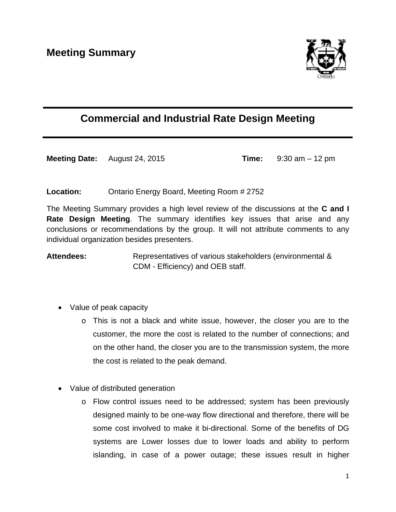

## **Commercial and Industrial Rate Design Meeting**

**Meeting Date:** August 24, 2015 **Time:** 9:30 am – 12 pm

## **Location:** Ontario Energy Board, Meeting Room # 2752

The Meeting Summary provides a high level review of the discussions at the **C and I Rate Design Meeting**. The summary identifies key issues that arise and any conclusions or recommendations by the group. It will not attribute comments to any individual organization besides presenters.

Attendees: Representatives of various stakeholders (environmental & CDM - Efficiency) and OEB staff.

- Value of peak capacity
	- o This is not a black and white issue, however, the closer you are to the customer, the more the cost is related to the number of connections; and on the other hand, the closer you are to the transmission system, the more the cost is related to the peak demand.
- Value of distributed generation
	- o Flow control issues need to be addressed; system has been previously designed mainly to be one-way flow directional and therefore, there will be some cost involved to make it bi-directional. Some of the benefits of DG systems are Lower losses due to lower loads and ability to perform islanding, in case of a power outage; these issues result in higher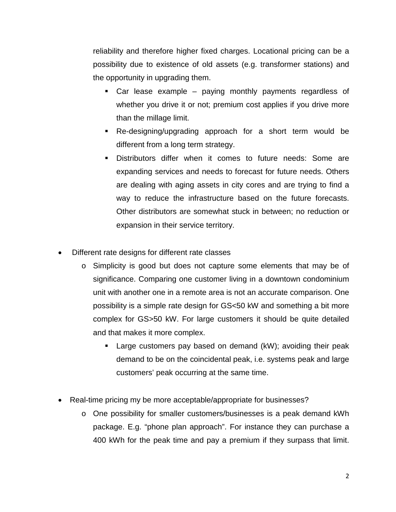reliability and therefore higher fixed charges. Locational pricing can be a possibility due to existence of old assets (e.g. transformer stations) and the opportunity in upgrading them.

- Car lease example paying monthly payments regardless of whether you drive it or not; premium cost applies if you drive more than the millage limit.
- Re-designing/upgrading approach for a short term would be different from a long term strategy.
- Distributors differ when it comes to future needs: Some are expanding services and needs to forecast for future needs. Others are dealing with aging assets in city cores and are trying to find a way to reduce the infrastructure based on the future forecasts. Other distributors are somewhat stuck in between; no reduction or expansion in their service territory.
- Different rate designs for different rate classes
	- o Simplicity is good but does not capture some elements that may be of significance. Comparing one customer living in a downtown condominium unit with another one in a remote area is not an accurate comparison. One possibility is a simple rate design for GS<50 kW and something a bit more complex for GS>50 kW. For large customers it should be quite detailed and that makes it more complex.
		- Large customers pay based on demand (kW); avoiding their peak demand to be on the coincidental peak, i.e. systems peak and large customers' peak occurring at the same time.
- Real-time pricing my be more acceptable/appropriate for businesses?
	- o One possibility for smaller customers/businesses is a peak demand kWh package. E.g. "phone plan approach". For instance they can purchase a 400 kWh for the peak time and pay a premium if they surpass that limit.